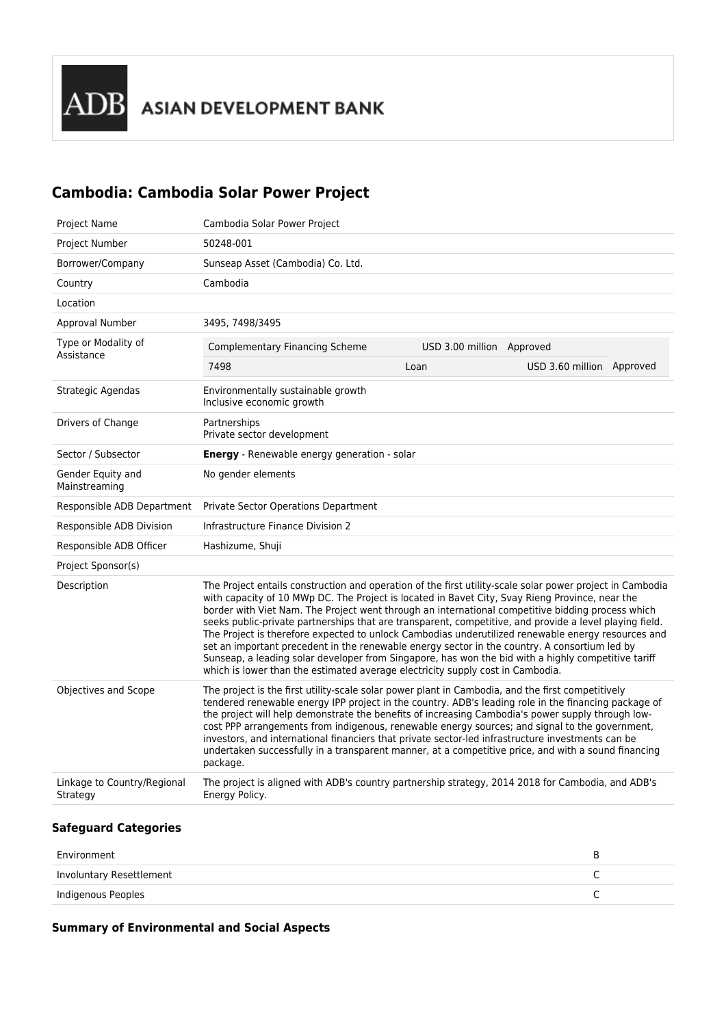## **Cambodia: Cambodia Solar Power Project**

| Project Name                            | Cambodia Solar Power Project                                                                                                                                                                                                                                                                                                                                                                                                                                                                                                                                                                                                                                                                                                                                                                                                 |                           |                           |  |
|-----------------------------------------|------------------------------------------------------------------------------------------------------------------------------------------------------------------------------------------------------------------------------------------------------------------------------------------------------------------------------------------------------------------------------------------------------------------------------------------------------------------------------------------------------------------------------------------------------------------------------------------------------------------------------------------------------------------------------------------------------------------------------------------------------------------------------------------------------------------------------|---------------------------|---------------------------|--|
| <b>Project Number</b>                   | 50248-001                                                                                                                                                                                                                                                                                                                                                                                                                                                                                                                                                                                                                                                                                                                                                                                                                    |                           |                           |  |
| Borrower/Company                        | Sunseap Asset (Cambodia) Co. Ltd.                                                                                                                                                                                                                                                                                                                                                                                                                                                                                                                                                                                                                                                                                                                                                                                            |                           |                           |  |
| Country                                 | Cambodia                                                                                                                                                                                                                                                                                                                                                                                                                                                                                                                                                                                                                                                                                                                                                                                                                     |                           |                           |  |
| Location                                |                                                                                                                                                                                                                                                                                                                                                                                                                                                                                                                                                                                                                                                                                                                                                                                                                              |                           |                           |  |
| Approval Number                         | 3495, 7498/3495                                                                                                                                                                                                                                                                                                                                                                                                                                                                                                                                                                                                                                                                                                                                                                                                              |                           |                           |  |
| Type or Modality of<br>Assistance       | <b>Complementary Financing Scheme</b>                                                                                                                                                                                                                                                                                                                                                                                                                                                                                                                                                                                                                                                                                                                                                                                        | USD 3.00 million Approved |                           |  |
|                                         | 7498                                                                                                                                                                                                                                                                                                                                                                                                                                                                                                                                                                                                                                                                                                                                                                                                                         | Loan                      | USD 3.60 million Approved |  |
| Strategic Agendas                       | Environmentally sustainable growth<br>Inclusive economic growth                                                                                                                                                                                                                                                                                                                                                                                                                                                                                                                                                                                                                                                                                                                                                              |                           |                           |  |
| Drivers of Change                       | Partnerships<br>Private sector development                                                                                                                                                                                                                                                                                                                                                                                                                                                                                                                                                                                                                                                                                                                                                                                   |                           |                           |  |
| Sector / Subsector                      | Energy - Renewable energy generation - solar                                                                                                                                                                                                                                                                                                                                                                                                                                                                                                                                                                                                                                                                                                                                                                                 |                           |                           |  |
| Gender Equity and<br>Mainstreaming      | No gender elements                                                                                                                                                                                                                                                                                                                                                                                                                                                                                                                                                                                                                                                                                                                                                                                                           |                           |                           |  |
| Responsible ADB Department              | <b>Private Sector Operations Department</b>                                                                                                                                                                                                                                                                                                                                                                                                                                                                                                                                                                                                                                                                                                                                                                                  |                           |                           |  |
| Responsible ADB Division                | <b>Infrastructure Finance Division 2</b>                                                                                                                                                                                                                                                                                                                                                                                                                                                                                                                                                                                                                                                                                                                                                                                     |                           |                           |  |
| Responsible ADB Officer                 | Hashizume, Shuji                                                                                                                                                                                                                                                                                                                                                                                                                                                                                                                                                                                                                                                                                                                                                                                                             |                           |                           |  |
| Project Sponsor(s)                      |                                                                                                                                                                                                                                                                                                                                                                                                                                                                                                                                                                                                                                                                                                                                                                                                                              |                           |                           |  |
| Description                             | The Project entails construction and operation of the first utility-scale solar power project in Cambodia<br>with capacity of 10 MWp DC. The Project is located in Bavet City, Svay Rieng Province, near the<br>border with Viet Nam. The Project went through an international competitive bidding process which<br>seeks public-private partnerships that are transparent, competitive, and provide a level playing field.<br>The Project is therefore expected to unlock Cambodias underutilized renewable energy resources and<br>set an important precedent in the renewable energy sector in the country. A consortium led by<br>Sunseap, a leading solar developer from Singapore, has won the bid with a highly competitive tariff<br>which is lower than the estimated average electricity supply cost in Cambodia. |                           |                           |  |
| Objectives and Scope                    | The project is the first utility-scale solar power plant in Cambodia, and the first competitively<br>tendered renewable energy IPP project in the country. ADB's leading role in the financing package of<br>the project will help demonstrate the benefits of increasing Cambodia's power supply through low-<br>cost PPP arrangements from indigenous, renewable energy sources; and signal to the government,<br>investors, and international financiers that private sector-led infrastructure investments can be<br>undertaken successfully in a transparent manner, at a competitive price, and with a sound financing<br>package.                                                                                                                                                                                     |                           |                           |  |
| Linkage to Country/Regional<br>Strategy | The project is aligned with ADB's country partnership strategy, 2014 2018 for Cambodia, and ADB's<br>Energy Policy.                                                                                                                                                                                                                                                                                                                                                                                                                                                                                                                                                                                                                                                                                                          |                           |                           |  |

## **Safeguard Categories**

| Environment              |  |
|--------------------------|--|
| Involuntary Resettlement |  |
| Indigenous Peoples       |  |

## **Summary of Environmental and Social Aspects**